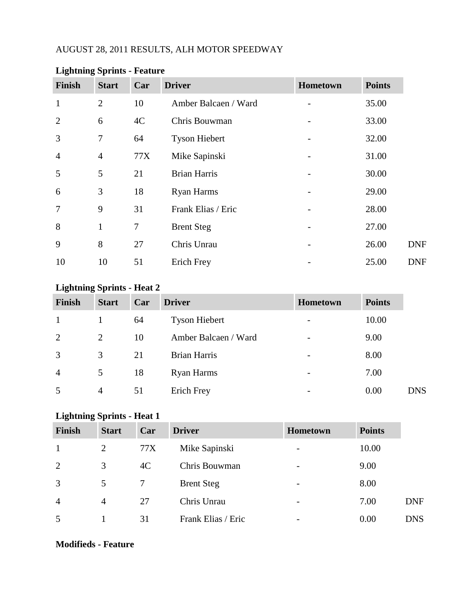### AUGUST 28, 2011 RESULTS, ALH MOTOR SPEEDWAY

| Finish         | <b>Start</b>   | Car | <b>Driver</b>        | Hometown | <b>Points</b> |
|----------------|----------------|-----|----------------------|----------|---------------|
| $\mathbf{1}$   | $\overline{2}$ | 10  | Amber Balcaen / Ward |          | 35.00         |
| 2              | 6              | 4C  | Chris Bouwman        |          | 33.00         |
| 3              | $\tau$         | 64  | <b>Tyson Hiebert</b> |          | 32.00         |
| $\overline{4}$ | $\overline{4}$ | 77X | Mike Sapinski        |          | 31.00         |
| 5              | 5              | 21  | <b>Brian Harris</b>  |          | 30.00         |
| 6              | 3              | 18  | <b>Ryan Harms</b>    |          | 29.00         |
| $\overline{7}$ | 9              | 31  | Frank Elias / Eric   |          | 28.00         |
| 8              | $\mathbf{1}$   | 7   | <b>Brent Steg</b>    |          | 27.00         |
| 9              | 8              | 27  | Chris Unrau          |          | 26.00         |
| 10             | 10             | 51  | Erich Frey           |          | 25.00         |

### **Lightning Sprints - Feature**

### **Lightning Sprints - Heat 2**

| <b>Finish</b>  | <b>Start</b>   | Car | <b>Driver</b>        | Hometown                 | <b>Points</b> |            |
|----------------|----------------|-----|----------------------|--------------------------|---------------|------------|
| -1             | 1              | 64  | <b>Tyson Hiebert</b> | $\overline{\phantom{0}}$ | 10.00         |            |
| 2              | $\overline{2}$ | 10  | Amber Balcaen / Ward | $\overline{\phantom{0}}$ | 9.00          |            |
| 3              | 3              | 21  | <b>Brian Harris</b>  | $\overline{\phantom{0}}$ | 8.00          |            |
| $\overline{4}$ | 5              | 18  | Ryan Harms           | -                        | 7.00          |            |
| 5              | 4              | 51  | Erich Frey           | -                        | 0.00          | <b>DNS</b> |

### **Lightning Sprints - Heat 1**

| <b>Finish</b>  | <b>Start</b> | Car | <b>Driver</b>      | <b>Hometown</b>          | <b>Points</b> |            |
|----------------|--------------|-----|--------------------|--------------------------|---------------|------------|
| 1              | 2            | 77X | Mike Sapinski      | $\overline{\phantom{a}}$ | 10.00         |            |
| $\overline{2}$ | 3            | 4C  | Chris Bouwman      | $\qquad \qquad$          | 9.00          |            |
| 3              | 5            |     | <b>Brent Steg</b>  | $\overline{\phantom{a}}$ | 8.00          |            |
| $\overline{4}$ | 4            | 27  | Chris Unrau        | $\overline{\phantom{a}}$ | 7.00          | <b>DNF</b> |
| 5              |              | 31  | Frank Elias / Eric | $\overline{\phantom{a}}$ | 0.00          | <b>DNS</b> |

#### **Modifieds - Feature**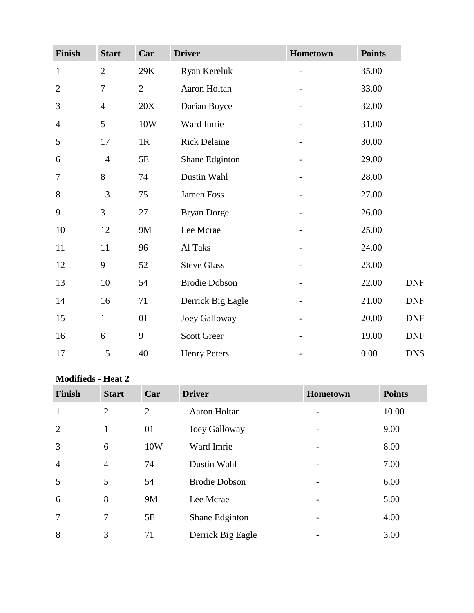| Finish         | <b>Start</b>   | Car          | <b>Driver</b>        | Hometown | <b>Points</b> |
|----------------|----------------|--------------|----------------------|----------|---------------|
| $\mathbf{1}$   | $\overline{2}$ | $29K$        | Ryan Kereluk         |          | 35.00         |
| $\overline{2}$ | $\overline{7}$ | $\mathbf{2}$ | Aaron Holtan         |          | 33.00         |
| 3              | $\overline{4}$ | 20X          | Darian Boyce         |          | 32.00         |
| $\overline{4}$ | 5              | 10W          | Ward Imrie           |          | 31.00         |
| 5              | 17             | 1R           | <b>Rick Delaine</b>  |          | 30.00         |
| 6              | 14             | $5E$         | Shane Edginton       |          | 29.00         |
| 7              | $8\,$          | 74           | Dustin Wahl          |          | 28.00         |
| 8              | 13             | 75           | Jamen Foss           |          | 27.00         |
| 9              | 3              | 27           | <b>Bryan Dorge</b>   |          | 26.00         |
| 10             | 12             | <b>9M</b>    | Lee Mcrae            |          | 25.00         |
| 11             | 11             | 96           | Al Taks              |          | 24.00         |
| 12             | 9              | 52           | <b>Steve Glass</b>   |          | 23.00         |
| 13             | 10             | 54           | <b>Brodie Dobson</b> |          | 22.00         |
| 14             | 16             | 71           | Derrick Big Eagle    |          | 21.00         |
| 15             | $\mathbf{1}$   | 01           | Joey Galloway        |          | 20.00         |
| 16             | 6              | 9            | <b>Scott Greer</b>   |          | 19.00         |
| 17             | 15             | 40           | <b>Henry Peters</b>  |          | 0.00          |

### **Modifieds - Heat 2**

| Finish         | <b>Start</b>   | Car            | <b>Driver</b>        | Hometown | <b>Points</b> |
|----------------|----------------|----------------|----------------------|----------|---------------|
| $\mathbf{1}$   | $\overline{2}$ | $\overline{2}$ | Aaron Holtan         |          | 10.00         |
| $\overline{2}$ | $\mathbf{1}$   | 01             | Joey Galloway        |          | 9.00          |
| 3              | 6              | 10W            | Ward Imrie           |          | 8.00          |
| $\overline{4}$ | $\overline{4}$ | 74             | Dustin Wahl          |          | 7.00          |
| 5              | 5              | 54             | <b>Brodie Dobson</b> |          | 6.00          |
| 6              | 8              | 9M             | Lee Mcrae            |          | 5.00          |
| $\overline{7}$ | 7              | 5E             | Shane Edginton       |          | 4.00          |
| 8              | 3              | 71             | Derrick Big Eagle    |          | 3.00          |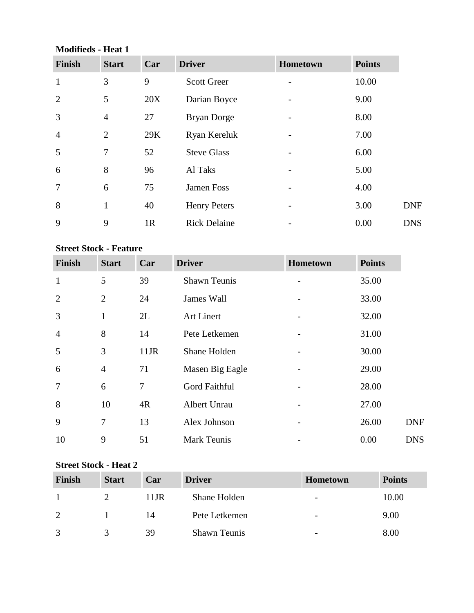### **Modifieds - Heat 1**

| <b>Finish</b>  | <b>Start</b>   | Car            | <b>Driver</b>       | Hometown | <b>Points</b> |
|----------------|----------------|----------------|---------------------|----------|---------------|
| 1              | 3              | 9              | <b>Scott Greer</b>  |          | 10.00         |
| $\overline{2}$ | 5              | 20X            | Darian Boyce        |          | 9.00          |
| 3              | $\overline{4}$ | 27             | <b>Bryan Dorge</b>  |          | 8.00          |
| $\overline{4}$ | $\overline{2}$ | 29K            | Ryan Kereluk        |          | 7.00          |
| 5              | $\overline{7}$ | 52             | <b>Steve Glass</b>  |          | 6.00          |
| 6              | 8              | 96             | Al Taks             |          | 5.00          |
| $\overline{7}$ | 6              | 75             | Jamen Foss          |          | 4.00          |
| 8              | 1              | 40             | <b>Henry Peters</b> |          | 3.00          |
| 9              | 9              | 1 <sub>R</sub> | <b>Rick Delaine</b> |          | 0.00          |

## **Street Stock - Feature**

| Finish         | <b>Start</b>   | Car     | <b>Driver</b>       | Hometown | <b>Points</b> |            |
|----------------|----------------|---------|---------------------|----------|---------------|------------|
| $\mathbf{1}$   | 5              | 39      | <b>Shawn Teunis</b> |          | 35.00         |            |
| 2              | $\overline{2}$ | 24      | James Wall          |          | 33.00         |            |
| 3              | $\mathbf{1}$   | 2L      | Art Linert          |          | 32.00         |            |
| $\overline{4}$ | $8\,$          | 14      | Pete Letkemen       |          | 31.00         |            |
| 5              | 3              | $11$ JR | Shane Holden        |          | 30.00         |            |
| 6              | $\overline{4}$ | 71      | Masen Big Eagle     |          | 29.00         |            |
| 7              | 6              | $\tau$  | Gord Faithful       |          | 28.00         |            |
| 8              | 10             | 4R      | Albert Unrau        |          | 27.00         |            |
| 9              | 7              | 13      | Alex Johnson        |          | 26.00         | <b>DNF</b> |
| 10             | 9              | 51      | <b>Mark Teunis</b>  |          | 0.00          | <b>DNS</b> |

#### **Street Stock - Heat 2**

| <b>Finish</b> | <b>Start</b> | Car  | <b>Driver</b>       | Hometown                 | <b>Points</b> |
|---------------|--------------|------|---------------------|--------------------------|---------------|
|               |              | 11JR | Shane Holden        | $\overline{\phantom{a}}$ | 10.00         |
|               |              | 14   | Pete Letkemen       | $\overline{\phantom{0}}$ | 9.00          |
|               |              | 39   | <b>Shawn Teunis</b> | $\overline{\phantom{0}}$ | 8.00          |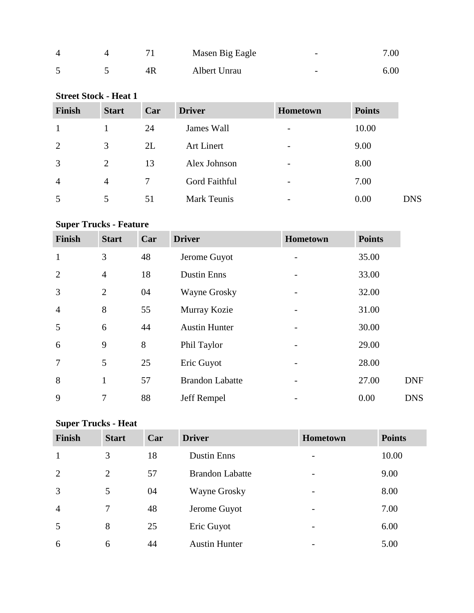| 4 |    | Masen Big Eagle | $\overline{\phantom{0}}$ | 7.00 |
|---|----|-----------------|--------------------------|------|
|   | 4R | Albert Unrau    | $\overline{\phantom{0}}$ | 6.00 |

| <b>Street Stock - Heat 1</b> |              |     |                    |          |               |            |  |  |
|------------------------------|--------------|-----|--------------------|----------|---------------|------------|--|--|
| <b>Finish</b>                | <b>Start</b> | Car | <b>Driver</b>      | Hometown | <b>Points</b> |            |  |  |
|                              |              | 24  | James Wall         |          | 10.00         |            |  |  |
| 2                            | 3            | 2L  | <b>Art Linert</b>  |          | 9.00          |            |  |  |
| 3                            | 2            | 13  | Alex Johnson       |          | 8.00          |            |  |  |
| $\overline{4}$               | 4            | 7   | Gord Faithful      |          | 7.00          |            |  |  |
| 5                            | 5            | 51  | <b>Mark Teunis</b> |          | 0.00          | <b>DNS</b> |  |  |

## **Super Trucks - Feature**

| <b>Finish</b>  | <b>Start</b>   | Car | <b>Driver</b>          | Hometown | <b>Points</b> |            |
|----------------|----------------|-----|------------------------|----------|---------------|------------|
| 1              | 3              | 48  | Jerome Guyot           |          | 35.00         |            |
| $\overline{2}$ | $\overline{4}$ | 18  | <b>Dustin Enns</b>     |          | 33.00         |            |
| 3              | $\overline{2}$ | 04  | Wayne Grosky           |          | 32.00         |            |
| $\overline{4}$ | 8              | 55  | Murray Kozie           |          | 31.00         |            |
| 5              | 6              | 44  | <b>Austin Hunter</b>   |          | 30.00         |            |
| 6              | 9              | 8   | Phil Taylor            |          | 29.00         |            |
| $\overline{7}$ | 5              | 25  | Eric Guyot             |          | 28.00         |            |
| 8              | $\mathbf{1}$   | 57  | <b>Brandon Labatte</b> |          | 27.00         | <b>DNF</b> |
| 9              | 7              | 88  | Jeff Rempel            |          | 0.00          | <b>DNS</b> |

# **Super Trucks - Heat**

| Finish         | <b>Start</b>   | Car | <b>Driver</b>          | <b>Hometown</b>          | <b>Points</b> |
|----------------|----------------|-----|------------------------|--------------------------|---------------|
| $\mathbf{1}$   | 3              | 18  | <b>Dustin Enns</b>     | -                        | 10.00         |
| 2              | $\overline{2}$ | 57  | <b>Brandon Labatte</b> | $\overline{\phantom{0}}$ | 9.00          |
| $\overline{3}$ | 5              | 04  | Wayne Grosky           | -                        | 8.00          |
| $\overline{4}$ | 7              | 48  | Jerome Guyot           |                          | 7.00          |
| 5              | 8              | 25  | Eric Guyot             | $\overline{\phantom{0}}$ | 6.00          |
| 6              | 6              | 44  | <b>Austin Hunter</b>   |                          | 5.00          |